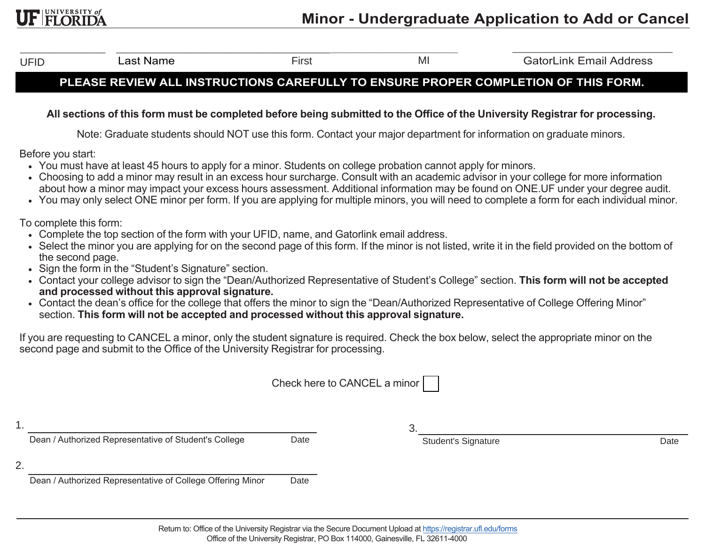UFID

Last Name

–––––––––––––––– ––––––––––––––––––––––––––––––––––––––––––––––––––––––––––––––––

 First MI GatorLink Email Address GatorLink Email Address

## **PLEASE REVIEW ALL INSTRUCTIONS CAREFULLY TO ENSURE PROPER COMPLETION OF THIS FORM.**

## **All sections of this form must be completed before being submitted to the Office of the University Registrar for processing.**

Note: Graduate students should NOT use this form. Contact your major department for information on graduate minors.

Before you start:

**JF FLORIDA** 

- You must have at least 45 hours to apply for a minor. Students on college probation cannot apply for minors.
- Choosing to add a minor may result in an excess hour surcharge. Consult with an academic advisor in your college for more informationabout how a minor may impact your excess hours assessment. Additional information may be found on ONE.UF under your degree audit.
- You may only select ONE minor per form. If you are applying for multiple minors, you will need to complete a form for each individual minor.

To complete this form:

- Complete the top section of the form with your UFID, name, and Gatorlink email address.
- Select the minor you are applying for on the second page of this form. If the minor is not listed, write it in the field provided on the bottom of the second page.
- Sign the form in the "Student's Signature" section.
- Contact your college advisor to sign the "Dean/Authorized Representative of Student's College" section. **This form will not be acceptedand processed without this approval signature.**
- Contact the dean's office for the college that offers the minor to sign the "Dean/Authorized Representative of College Offering Minor" section. **This form will not be accepted and processed without this approval signature.**

If you are requesting to CANCEL a minor, only the student signature is required. Check the box below, select the appropriate minor on the second page and submit to the Office of the University Registrar for processing.

|     | Check here to CANCEL a minor                               |      |                            |      |  |
|-----|------------------------------------------------------------|------|----------------------------|------|--|
| . . | Dean / Authorized Representative of Student's College      | Date | <b>Student's Signature</b> | Date |  |
| 2.  |                                                            |      |                            |      |  |
|     | Dean / Authorized Representative of College Offering Minor | Date |                            |      |  |